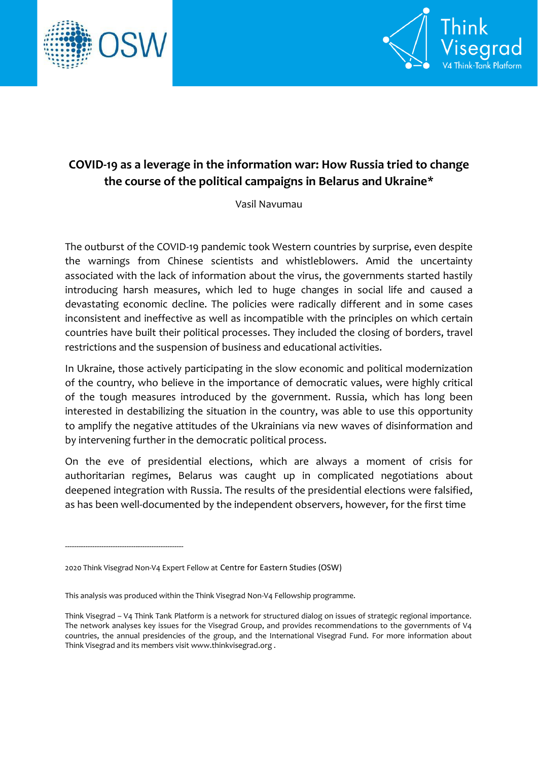



# **COVID-19 as a leverage in the information war: How Russia tried to change the course of the political campaigns in Belarus and Ukraine\***

Vasil Navumau

The outburst of the COVID-19 pandemic took Western countries by surprise, even despite the warnings from Chinese scientists and whistleblowers. Amid the uncertainty associated with the lack of information about the virus, the governments started hastily introducing harsh measures, which led to huge changes in social life and caused a devastating economic decline. The policies were radically different and in some cases inconsistent and ineffective as well as incompatible with the principles on which certain countries have built their political processes. They included the closing of borders, travel restrictions and the suspension of business and educational activities.

In Ukraine, those actively participating in the slow economic and political modernization of the country, who believe in the importance of democratic values, were highly critical of the tough measures introduced by the government. Russia, which has long been interested in destabilizing the situation in the country, was able to use this opportunity to amplify the negative attitudes of the Ukrainians via new waves of disinformation and by intervening further in the democratic political process.

On the eve of presidential elections, which are always a moment of crisis for authoritarian regimes, Belarus was caught up in complicated negotiations about deepened integration with Russia. The results of the presidential elections were falsified, as has been well-documented by the independent observers, however, for the first time

----------------------------------------------------

<sup>2020</sup> Think Visegrad Non-V4 Expert Fellow at Centre for Eastern Studies (OSW)

This analysis was produced within the Think Visegrad Non-V4 Fellowship programme.

Think Visegrad – V4 Think Tank Platform is a network for structured dialog on issues of strategic regional importance. The network analyses key issues for the Visegrad Group, and provides recommendations to the governments of V4 countries, the annual presidencies of the group, and the International Visegrad Fund. For more information about Think Visegrad and its members visit www.thinkvisegrad.org .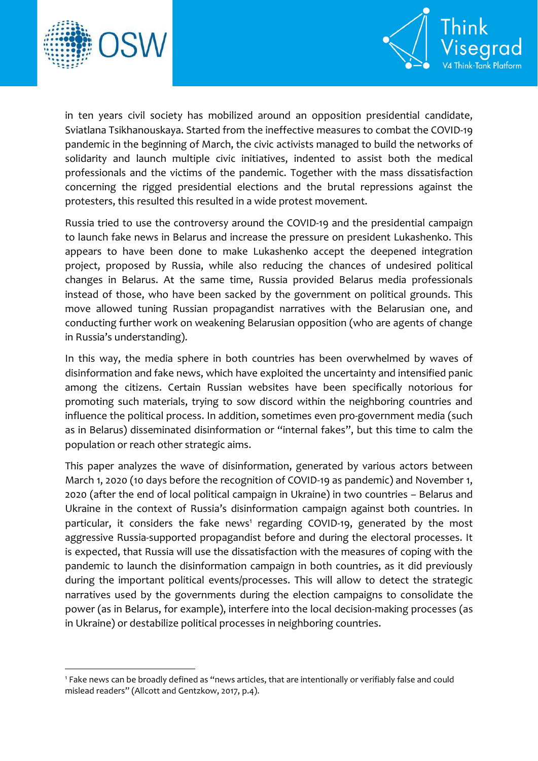

1



in ten years civil society has mobilized around an opposition presidential candidate, Sviatlana Tsikhanouskaya. Started from the ineffective measures to combat the COVID-19 pandemic in the beginning of March, the civic activists managed to build the networks of solidarity and launch multiple civic initiatives, indented to assist both the medical professionals and the victims of the pandemic. Together with the mass dissatisfaction concerning the rigged presidential elections and the brutal repressions against the protesters, this resulted this resulted in a wide protest movement.

Russia tried to use the controversy around the COVID-19 and the presidential campaign to launch fake news in Belarus and increase the pressure on president Lukashenko. This appears to have been done to make Lukashenko accept the deepened integration project, proposed by Russia, while also reducing the chances of undesired political changes in Belarus. At the same time, Russia provided Belarus media professionals instead of those, who have been sacked by the government on political grounds. This move allowed tuning Russian propagandist narratives with the Belarusian one, and conducting further work on weakening Belarusian opposition (who are agents of change in Russia's understanding).

In this way, the media sphere in both countries has been overwhelmed by waves of disinformation and fake news, which have exploited the uncertainty and intensified panic among the citizens. Certain Russian websites have been specifically notorious for promoting such materials, trying to sow discord within the neighboring countries and influence the political process. In addition, sometimes even pro-government media (such as in Belarus) disseminated disinformation or "internal fakes", but this time to calm the population or reach other strategic aims.

This paper analyzes the wave of disinformation, generated by various actors between March 1, 2020 (10 days before the recognition of COVID-19 as pandemic) and November 1, 2020 (after the end of local political campaign in Ukraine) in two countries – Belarus and Ukraine in the context of Russia's disinformation campaign against both countries. In particular, it considers the fake news<sup>1</sup> regarding COVID-19, generated by the most aggressive Russia-supported propagandist before and during the electoral processes. It is expected, that Russia will use the dissatisfaction with the measures of coping with the pandemic to launch the disinformation campaign in both countries, as it did previously during the important political events/processes. This will allow to detect the strategic narratives used by the governments during the election campaigns to consolidate the power (as in Belarus, for example), interfere into the local decision-making processes (as in Ukraine) or destabilize political processes in neighboring countries.

<sup>1</sup> Fake news can be broadly defined as "news articles, that are intentionally or verifiably false and could mislead readers" (Allcott and Gentzkow, 2017, p.4).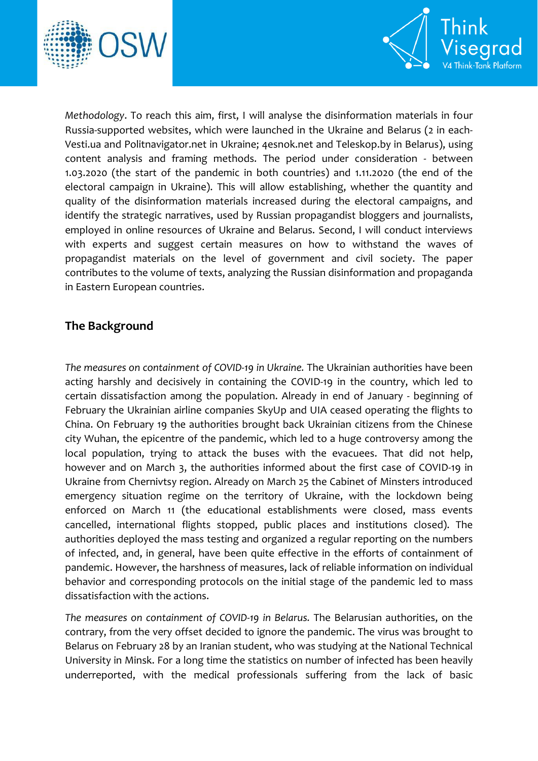



*Methodology*. To reach this aim, first, I will analyse the disinformation materials in four Russia-supported websites, which were launched in the Ukraine and Belarus (2 in each-Vesti.ua and Politnavigator.net in Ukraine; 4esnok.net and Teleskop.by in Belarus), using content analysis and framing methods. The period under consideration - between 1.03.2020 (the start of the pandemic in both countries) and 1.11.2020 (the end of the electoral campaign in Ukraine). This will allow establishing, whether the quantity and quality of the disinformation materials increased during the electoral campaigns, and identify the strategic narratives, used by Russian propagandist bloggers and journalists, employed in online resources of Ukraine and Belarus. Second, I will conduct interviews with experts and suggest certain measures on how to withstand the waves of propagandist materials on the level of government and civil society. The paper contributes to the volume of texts, analyzing the Russian disinformation and propaganda in Eastern European countries.

# **The Background**

*The measures on containment of COVID-19 in Ukraine.* The Ukrainian authorities have been acting harshly and decisively in containing the COVID-19 in the country, which led to certain dissatisfaction among the population. Already in end of January - beginning of February the Ukrainian airline companies SkyUp and UIA ceased operating the flights to China. On February 19 the authorities brought back Ukrainian citizens from the Chinese city Wuhan, the epicentre of the pandemic, which led to a huge controversy among the local population, trying to attack the buses with the evacuees. That did not help, however and on March 3, the authorities informed about the first case of COVID-19 in Ukraine from Chernivtsy region. Already on March 25 the Cabinet of Minsters introduced emergency situation regime on the territory of Ukraine, with the lockdown being enforced on March 11 (the educational establishments were closed, mass events cancelled, international flights stopped, public places and institutions closed). The authorities deployed the mass testing and organized a regular reporting on the numbers of infected, and, in general, have been quite effective in the efforts of containment of pandemic. However, the harshness of measures, lack of reliable information on individual behavior and corresponding protocols on the initial stage of the pandemic led to mass dissatisfaction with the actions.

*The measures on containment of COVID-19 in Belarus.* The Belarusian authorities, on the contrary, from the very offset decided to ignore the pandemic. The virus was brought to Belarus on February 28 by an Iranian student, who was studying at the National Technical University in Minsk. For a long time the statistics on number of infected has been heavily underreported, with the medical professionals suffering from the lack of basic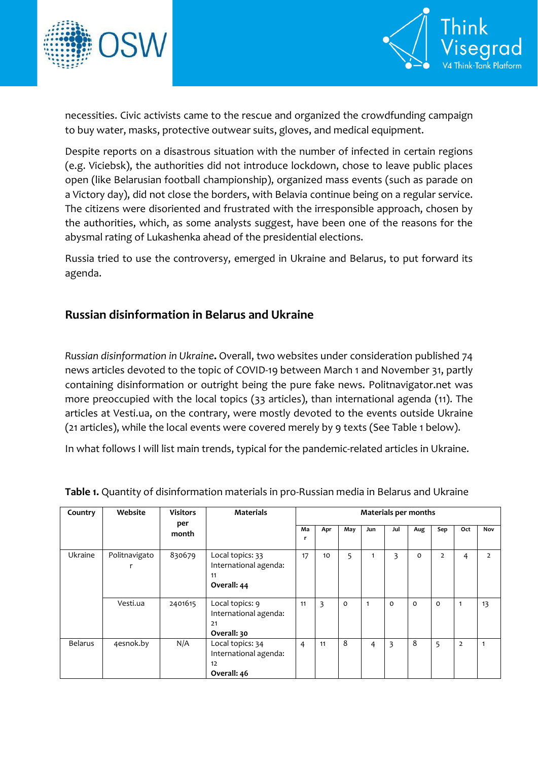



necessities. Civic activists came to the rescue and organized the crowdfunding campaign to buy water, masks, protective outwear suits, gloves, and medical equipment.

Despite reports on a disastrous situation with the number of infected in certain regions (e.g. Viciebsk), the authorities did not introduce lockdown, chose to leave public places open (like Belarusian football championship), organized mass events (such as parade on a Victory day), did not close the borders, with Belavia continue being on a regular service. The citizens were disoriented and frustrated with the irresponsible approach, chosen by the authorities, which, as some analysts suggest, have been one of the reasons for the abysmal rating of Lukashenka ahead of the presidential elections.

Russia tried to use the controversy, emerged in Ukraine and Belarus, to put forward its agenda.

# **Russian disinformation in Belarus and Ukraine**

*Russian disinformation in Ukraine***.** Overall, two websites under consideration published 74 news articles devoted to the topic of COVID-19 between March 1 and November 31, partly containing disinformation or outright being the pure fake news. Politnavigator.net was more preoccupied with the local topics (33 articles), than international agenda (11). The articles at Vesti.ua, on the contrary, were mostly devoted to the events outside Ukraine (21 articles), while the local events were covered merely by 9 texts (See Table 1 below).

In what follows I will list main trends, typical for the pandemic-related articles in Ukraine.

| Country        | Website       | <b>Visitors</b><br>per<br>month | <b>Materials</b>                                               | <b>Materials per months</b> |     |         |     |     |     |                |                |                |  |
|----------------|---------------|---------------------------------|----------------------------------------------------------------|-----------------------------|-----|---------|-----|-----|-----|----------------|----------------|----------------|--|
|                |               |                                 |                                                                | Ma<br>r                     | Apr | May     | Jun | Jul | Aug | Sep            | Oct            | Nov            |  |
| Ukraine        | Politnavigato | 830679                          | Local topics: 33<br>International agenda:<br>11<br>Overall: 44 | 17                          | 10  | 5       |     | 3   | 0   | $\overline{2}$ | 4              | $\overline{2}$ |  |
|                | Vesti.ua      | 2401615                         | Local topics: 9<br>International agenda:<br>21<br>Overall: 30  | 11                          | 3   | $\circ$ | 1   | 0   | 0   | $\mathbf{o}$   | 1              | 13             |  |
| <b>Belarus</b> | 4esnok.by     | N/A                             | Local topics: 34<br>International agenda:<br>12<br>Overall: 46 | 4                           | 11  | 8       | 4   | 3   | 8   | 5              | $\overline{2}$ | $\mathbf{1}$   |  |

**Table 1.** Quantity of disinformation materials in pro-Russian media in Belarus and Ukraine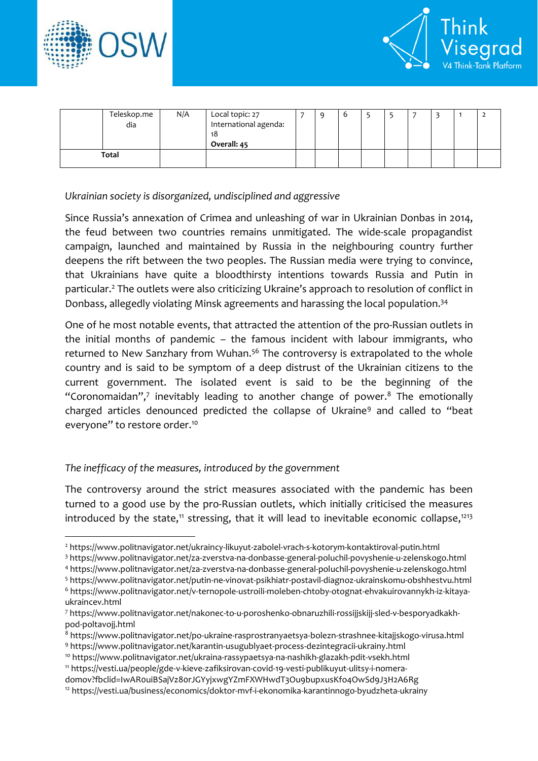

 $\overline{a}$ 



|              | Teleskop.me<br>dia | N/A | Local topic: 27<br>International agenda:<br>18<br>Overall: 45 | q | 6 |  |  |  |
|--------------|--------------------|-----|---------------------------------------------------------------|---|---|--|--|--|
| <b>Total</b> |                    |     |                                                               |   |   |  |  |  |

### *Ukrainian society is disorganized, undisciplined and aggressive*

Since Russia's annexation of Crimea and unleashing of war in Ukrainian Donbas in 2014, the feud between two countries remains unmitigated. The wide-scale propagandist campaign, launched and maintained by Russia in the neighbouring country further deepens the rift between the two peoples. The Russian media were trying to convince, that Ukrainians have quite a bloodthirsty intentions towards Russia and Putin in particular.<sup>2</sup> The outlets were also criticizing Ukraine's approach to resolution of conflict in Donbass, allegedly violating Minsk agreements and harassing the local population.<sup>34</sup>

One of he most notable events, that attracted the attention of the pro-Russian outlets in the initial months of pandemic – the famous incident with labour immigrants, who returned to New Sanzhary from Wuhan.<sup>56</sup> The controversy is extrapolated to the whole country and is said to be symptom of a deep distrust of the Ukrainian citizens to the current government. The isolated event is said to be the beginning of the "Coronomaidan",<sup>7</sup> inevitably leading to another change of power.<sup>8</sup> The emotionally charged articles denounced predicted the collapse of Ukraine<sup>9</sup> and called to "beat everyone" to restore order.<sup>10</sup>

### *The inefficacy of the measures, introduced by the government*

The controversy around the strict measures associated with the pandemic has been turned to a good use by the pro-Russian outlets, which initially criticised the measures introduced by the state,<sup>11</sup> stressing, that it will lead to inevitable economic collapse,<sup>1213</sup>

<sup>5</sup> https://www.politnavigator.net/putin-ne-vinovat-psikhiatr-postavil-diagnoz-ukrainskomu-obshhestvu.html

<sup>2</sup> <https://www.politnavigator.net/ukraincy-likuyut-zabolel-vrach-s-kotorym-kontaktiroval-putin.html>

<sup>3</sup> <https://www.politnavigator.net/za-zverstva-na-donbasse-general-poluchil-povyshenie-u-zelenskogo.html>

<sup>4</sup> <https://www.politnavigator.net/za-zverstva-na-donbasse-general-poluchil-povyshenie-u-zelenskogo.html>

<sup>6</sup> [https://www.politnavigator.net/v-ternopole-ustroili-moleben-chtoby-otognat-ehvakuirovannykh-iz-kitaya](https://www.politnavigator.net/v-ternopole-ustroili-moleben-chtoby-otognat-ehvakuirovannykh-iz-kitaya-ukraincev.html)[ukraincev.html](https://www.politnavigator.net/v-ternopole-ustroili-moleben-chtoby-otognat-ehvakuirovannykh-iz-kitaya-ukraincev.html)

<sup>7</sup> https://www.politnavigator.net/nakonec-to-u-poroshenko-obnaruzhili-rossijjskijj-sled-v-besporyadkakhpod-poltavojj.html

<sup>8</sup> <https://www.politnavigator.net/po-ukraine-rasprostranyaetsya-bolezn-strashnee-kitajjskogo-virusa.html> <sup>9</sup> <https://www.politnavigator.net/karantin-usugublyaet-process-dezintegracii-ukrainy.html>

<sup>10</sup> <https://www.politnavigator.net/ukraina-rassypaetsya-na-nashikh-glazakh-pdit-vsekh.html>

<sup>11</sup> [https://vesti.ua/people/gde-v-kieve-zafiksirovan-covid-19-vesti-publikuyut-ulitsy-i-nomera-](https://vesti.ua/people/gde-v-kieve-zafiksirovan-covid-19-vesti-publikuyut-ulitsy-i-nomera-domov?fbclid=IwAR0uiBSajVz80rJGYyjxwgYZmFXWHwdT3Ou9bupxusKfo4OwSd9J3H2A6Rg)

[domov?fbclid=IwAR0uiBSajVz80rJGYyjxwgYZmFXWHwdT3Ou9bupxusKfo4OwSd9J3H2A6Rg](https://vesti.ua/people/gde-v-kieve-zafiksirovan-covid-19-vesti-publikuyut-ulitsy-i-nomera-domov?fbclid=IwAR0uiBSajVz80rJGYyjxwgYZmFXWHwdT3Ou9bupxusKfo4OwSd9J3H2A6Rg)

<sup>12</sup> <https://vesti.ua/business/economics/doktor-mvf-i-ekonomika-karantinnogo-byudzheta-ukrainy>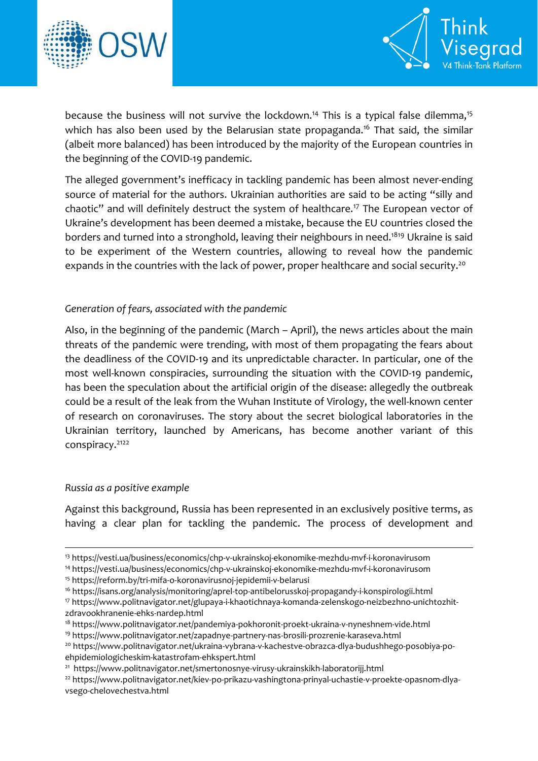



because the business will not survive the lockdown.<sup>14</sup> This is a typical false dilemma.<sup>15</sup> which has also been used by the Belarusian state propaganda.<sup>16</sup> That said, the similar (albeit more balanced) has been introduced by the majority of the European countries in the beginning of the COVID-19 pandemic.

The alleged government's inefficacy in tackling pandemic has been almost never-ending source of material for the authors. Ukrainian authorities are said to be acting "silly and chaotic" and will definitely destruct the system of healthcare.<sup>17</sup> The European vector of Ukraine's development has been deemed a mistake, because the EU countries closed the borders and turned into a stronghold, leaving their neighbours in need.<sup>1819</sup> Ukraine is said to be experiment of the Western countries, allowing to reveal how the pandemic expands in the countries with the lack of power, proper healthcare and social security.<sup>20</sup>

### *Generation of fears, associated with the pandemic*

Also, in the beginning of the pandemic (March – April), the news articles about the main threats of the pandemic were trending, with most of them propagating the fears about the deadliness of the COVID-19 and its unpredictable character. In particular, one of the most well-known conspiracies, surrounding the situation with the COVID-19 pandemic, has been the speculation about the artificial origin of the disease: allegedly the outbreak could be a result of the leak from the Wuhan Institute of Virology, the well-known center of research on coronaviruses. The story about the secret biological laboratories in the Ukrainian territory, launched by Americans, has become another variant of this conspiracy. 2122

### *Russia as a positive example*

1

Against this background, Russia has been represented in an exclusively positive terms, as having a clear plan for tackling the pandemic. The process of development and

<sup>15</sup> https://reform.by/tri-mifa-o-koronavirusnoj-jepidemii-v-belarusi

<sup>16</sup> https://isans.org/analysis/monitoring/aprel-top-antibelorusskoj-propagandy-i-konspirologii.html

<sup>21</sup> <https://www.politnavigator.net/smertonosnye-virusy-ukrainskikh-laboratorijj.html>

<sup>22</sup> [https://www.politnavigator.net/kiev-po-prikazu-vashingtona-prinyal-uchastie-v-proekte-opasnom-dlya](https://www.politnavigator.net/kiev-po-prikazu-vashingtona-prinyal-uchastie-v-proekte-opasnom-dlya-vsego-chelovechestva.html)[vsego-chelovechestva.html](https://www.politnavigator.net/kiev-po-prikazu-vashingtona-prinyal-uchastie-v-proekte-opasnom-dlya-vsego-chelovechestva.html)

<sup>13</sup> <https://vesti.ua/business/economics/chp-v-ukrainskoj-ekonomike-mezhdu-mvf-i-koronavirusom>

<sup>14</sup> <https://vesti.ua/business/economics/chp-v-ukrainskoj-ekonomike-mezhdu-mvf-i-koronavirusom>

<sup>17</sup> [https://www.politnavigator.net/glupaya-i-khaotichnaya-komanda-zelenskogo-neizbezhno-unichtozhit](https://www.politnavigator.net/glupaya-i-khaotichnaya-komanda-zelenskogo-neizbezhno-unichtozhit-zdravookhranenie-ehks-nardep.html)[zdravookhranenie-ehks-nardep.html](https://www.politnavigator.net/glupaya-i-khaotichnaya-komanda-zelenskogo-neizbezhno-unichtozhit-zdravookhranenie-ehks-nardep.html)

<sup>&</sup>lt;sup>18</sup> <https://www.politnavigator.net/pandemiya-pokhoronit-proekt-ukraina-v-nyneshnem-vide.html>

<sup>19</sup> <https://www.politnavigator.net/zapadnye-partnery-nas-brosili-prozrenie-karaseva.html>

<sup>20</sup> https://www.politnavigator.net/ukraina-vybrana-v-kachestve-obrazca-dlya-budushhego-posobiya-poehpidemiologicheskim-katastrofam-ehkspert.html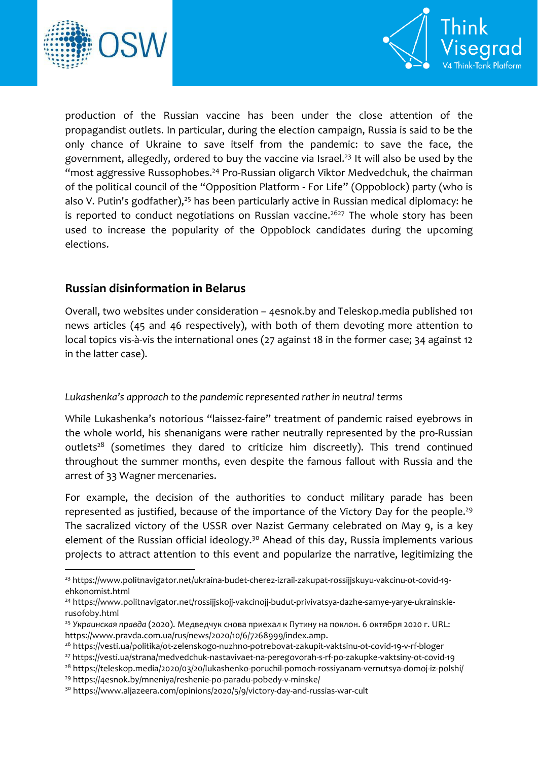

1



production of the Russian vaccine has been under the close attention of the propagandist outlets. In particular, during the election campaign, Russia is said to be the only chance of Ukraine to save itself from the pandemic: to save the face, the government, allegedly, ordered to buy the vaccine via Israel.<sup>23</sup> It will also be used by the "most aggressive Russophobes. <sup>24</sup> Pro-Russian oligarch Viktor Medvedchuk, the chairman of the political council of the "Opposition Platform - For Life" (Oppoblock) party (who is also V. Putin's godfather),<sup>25</sup> has been particularly active in Russian medical diplomacy: he is reported to conduct negotiations on Russian vaccine.<sup>2627</sup> The whole story has been used to increase the popularity of the Oppoblock candidates during the upcoming elections.

# **Russian disinformation in Belarus**

Overall, two websites under consideration – 4esnok.by and Teleskop.media published 101 news articles (45 and 46 respectively), with both of them devoting more attention to local topics vis-à-vis the international ones (27 against 18 in the former case; 34 against 12 in the latter case).

## *Lukashenka's approach to the pandemic represented rather in neutral terms*

While Lukashenka's notorious "laissez-faire" treatment of pandemic raised eyebrows in the whole world, his shenanigans were rather neutrally represented by the pro-Russian outlets<sup>28</sup> (sometimes they dared to criticize him discreetly). This trend continued throughout the summer months, even despite the famous fallout with Russia and the arrest of 33 Wagner mercenaries.

For example, the decision of the authorities to conduct military parade has been represented as justified, because of the importance of the Victory Day for the people.<sup>29</sup> The sacralized victory of the USSR over Nazist Germany celebrated on May 9, is a key element of the Russian official ideology.<sup>30</sup> Ahead of this day, Russia implements various projects to attract attention to this event and popularize the narrative, legitimizing the

<sup>23</sup> [https://www.politnavigator.net/ukraina-budet-cherez-izrail-zakupat-rossijjskuyu-vakcinu-ot-covid-19](https://www.politnavigator.net/ukraina-budet-cherez-izrail-zakupat-rossijjskuyu-vakcinu-ot-covid-19-ehkonomist.html) [ehkonomist.html](https://www.politnavigator.net/ukraina-budet-cherez-izrail-zakupat-rossijjskuyu-vakcinu-ot-covid-19-ehkonomist.html)

<sup>&</sup>lt;sup>24</sup> [https://www.politnavigator.net/rossijjskojj-vakcinojj-budut-privivatsya-dazhe-samye-yarye-ukrainskie](https://www.politnavigator.net/rossijjskojj-vakcinojj-budut-privivatsya-dazhe-samye-yarye-ukrainskie-rusofoby.html)[rusofoby.html](https://www.politnavigator.net/rossijjskojj-vakcinojj-budut-privivatsya-dazhe-samye-yarye-ukrainskie-rusofoby.html)

<sup>25</sup> *Украинская правда* (2020). Медведчук снова приехал к Путину на поклон. 6 октября 2020 г. URL: https://www.pravda.com.ua/rus/news/2020/10/6/7268999/index.amp.

<sup>26</sup> <https://vesti.ua/politika/ot-zelenskogo-nuzhno-potrebovat-zakupit-vaktsinu-ot-covid-19-v-rf-bloger>

<sup>27</sup> <https://vesti.ua/strana/medvedchuk-nastavivaet-na-peregovorah-s-rf-po-zakupke-vaktsiny-ot-covid-19>

<sup>28</sup> https://teleskop.media/2020/03/20/lukashenko-poruchil-pomoch-rossiyanam-vernutsya-domoj-iz-polshi/

<sup>29</sup> <https://4esnok.by/mneniya/reshenie-po-paradu-pobedy-v-minske/>

<sup>30</sup> https://www.aljazeera.com/opinions/2020/5/9/victory-day-and-russias-war-cult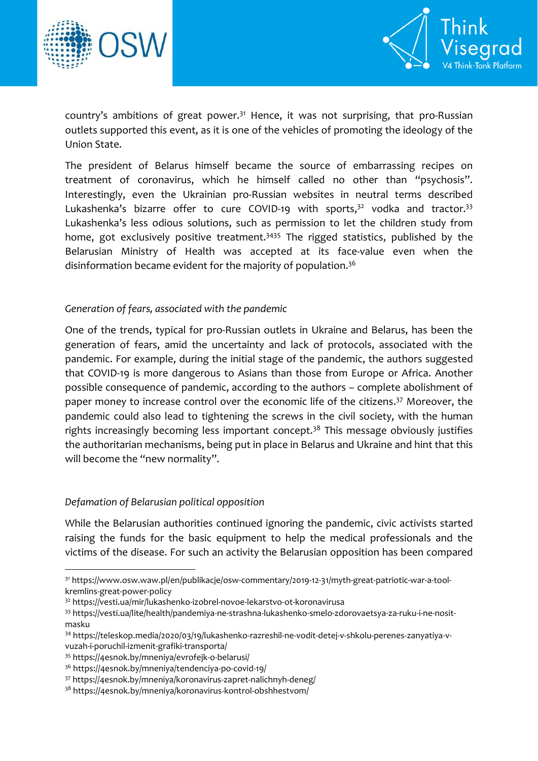



country's ambitions of great power.<sup>31</sup> Hence, it was not surprising, that pro-Russian outlets supported this event, as it is one of the vehicles of promoting the ideology of the Union State.

The president of Belarus himself became the source of embarrassing recipes on treatment of coronavirus, which he himself called no other than "psychosis". Interestingly, even the Ukrainian pro-Russian websites in neutral terms described Lukashenka's bizarre offer to cure COVID-19 with sports,<sup>32</sup> vodka and tractor.<sup>33</sup> Lukashenka's less odious solutions, such as permission to let the children study from home, got exclusively positive treatment.<sup>3435</sup> The rigged statistics, published by the Belarusian Ministry of Health was accepted at its face-value even when the disinformation became evident for the majority of population.<sup>36</sup>

#### *Generation of fears, associated with the pandemic*

One of the trends, typical for pro-Russian outlets in Ukraine and Belarus, has been the generation of fears, amid the uncertainty and lack of protocols, associated with the pandemic. For example, during the initial stage of the pandemic, the authors suggested that COVID-19 is more dangerous to Asians than those from Europe or Africa. Another possible consequence of pandemic, according to the authors – complete abolishment of paper money to increase control over the economic life of the citizens. <sup>37</sup> Moreover, the pandemic could also lead to tightening the screws in the civil society, with the human rights increasingly becoming less important concept.<sup>38</sup> This message obviously justifies the authoritarian mechanisms, being put in place in Belarus and Ukraine and hint that this will become the "new normality".

#### *Defamation of Belarusian political opposition*

While the Belarusian authorities continued ignoring the pandemic, civic activists started raising the funds for the basic equipment to help the medical professionals and the victims of the disease. For such an activity the Belarusian opposition has been compared

1

<sup>31</sup> https://www.osw.waw.pl/en/publikacje/osw-commentary/2019-12-31/myth-great-patriotic-war-a-toolkremlins-great-power-policy

<sup>32</sup> https://vesti.ua/mir/lukashenko-izobrel-novoe-lekarstvo-ot-koronavirusa

<sup>33</sup> https://vesti.ua/lite/health/pandemiya-ne-strashna-lukashenko-smelo-zdorovaetsya-za-ruku-i-ne-nositmasku

<sup>34</sup> [https://teleskop.media/2020/03/19/lukashenko-razreshil-ne-vodit-detej-v-shkolu-perenes-zanyatiya-v](https://teleskop.media/2020/03/19/lukashenko-razreshil-ne-vodit-detej-v-shkolu-perenes-zanyatiya-v-vuzah-i-poruchil-izmenit-grafiki-transporta/)[vuzah-i-poruchil-izmenit-grafiki-transporta/](https://teleskop.media/2020/03/19/lukashenko-razreshil-ne-vodit-detej-v-shkolu-perenes-zanyatiya-v-vuzah-i-poruchil-izmenit-grafiki-transporta/)

<sup>35</sup> https://4esnok.by/mneniya/evrofejk-o-belarusi/

<sup>36</sup> <https://4esnok.by/mneniya/tendenciya-po-covid-19/>

<sup>37</sup> <https://4esnok.by/mneniya/koronavirus-zapret-nalichnyh-deneg/>

<sup>38</sup> <https://4esnok.by/mneniya/koronavirus-kontrol-obshhestvom/>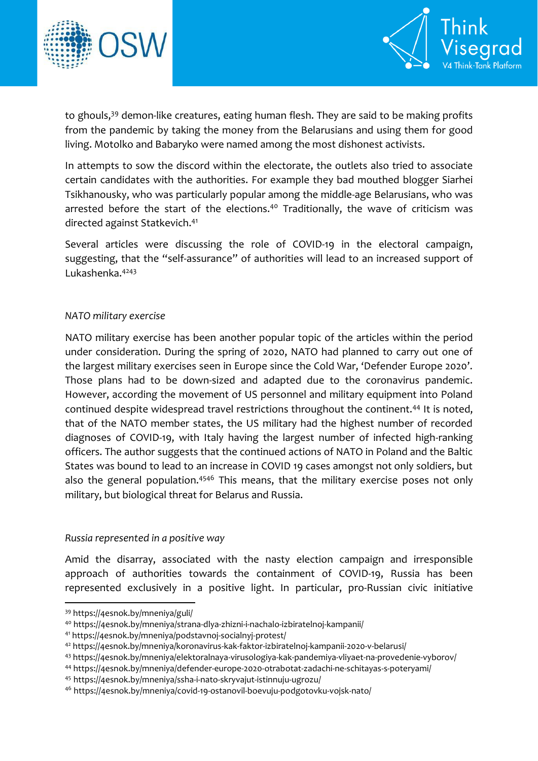



to ghouls,<sup>39</sup> demon-like creatures, eating human flesh. They are said to be making profits from the pandemic by taking the money from the Belarusians and using them for good living. Motolko and Babaryko were named among the most dishonest activists.

In attempts to sow the discord within the electorate, the outlets also tried to associate certain candidates with the authorities. For example they bad mouthed blogger Siarhei Tsikhanousky, who was particularly popular among the middle-age Belarusians, who was arrested before the start of the elections.<sup>40</sup> Traditionally, the wave of criticism was directed against Statkevich.<sup>41</sup>

Several articles were discussing the role of COVID-19 in the electoral campaign, suggesting, that the "self-assurance" of authorities will lead to an increased support of Lukashenka.<sup>4243</sup>

### *NATO military exercise*

NATO military exercise has been another popular topic of the articles within the period under consideration. During the spring of 2020, NATO had planned to carry out one of the largest military exercises seen in Europe since the Cold War, 'Defender Europe 2020'. Those plans had to be down-sized and adapted due to the coronavirus pandemic. However, according the movement of US personnel and military equipment into Poland continued despite widespread travel restrictions throughout the continent.<sup>44</sup> It is noted, that of the NATO member states, the US military had the highest number of recorded diagnoses of COVID-19, with Italy having the largest number of infected high-ranking officers. The author suggests that the continued actions of NATO in Poland and the Baltic States was bound to lead to an increase in COVID 19 cases amongst not only soldiers, but also the general population.<sup>4546</sup> This means, that the military exercise poses not only military, but biological threat for Belarus and Russia.

#### *Russia represented in a positive way*

Amid the disarray, associated with the nasty election campaign and irresponsible approach of authorities towards the containment of COVID-19, Russia has been represented exclusively in a positive light. In particular, pro-Russian civic initiative

**.** 

<sup>39</sup> <https://4esnok.by/mneniya/guli/>

<sup>40</sup> https://4esnok.by/mneniya/strana-dlya-zhizni-i-nachalo-izbiratelnoj-kampanii/

<sup>41</sup> https://4esnok.by/mneniya/podstavnoj-socialnyj-protest/

<sup>42</sup> https://4esnok.by/mneniya/koronavirus-kak-faktor-izbiratelnoj-kampanii-2020-v-belarusi/

<sup>43</sup> https://4esnok.by/mneniya/elektoralnaya-virusologiya-kak-pandemiya-vliyaet-na-provedenie-vyborov/

<sup>44</sup> https://4esnok.by/mneniya/defender-europe-2020-otrabotat-zadachi-ne-schitayas-s-poteryami/

<sup>45</sup> <https://4esnok.by/mneniya/ssha-i-nato-skryvajut-istinnuju-ugrozu/>

<sup>46</sup> <https://4esnok.by/mneniya/covid-19-ostanovil-boevuju-podgotovku-vojsk-nato/>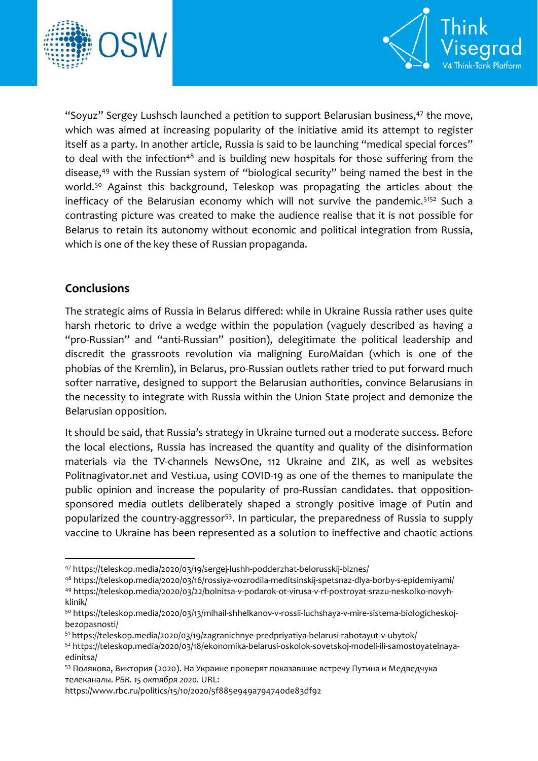



"Soyuz" Sergey Lushsch launched a petition to support Belarusian business,<sup>47</sup> the move, which was aimed at increasing popularity of the initiative amid its attempt to register itself as a party. In another article, Russia is said to be launching "medical special forces" to deal with the infection<sup>48</sup> and is building new hospitals for those suffering from the disease, <sup>49</sup> with the Russian system of "biological security" being named the best in the world.<sup>50</sup> Against this background. Teleskop was propagating the articles about the inefficacy of the Belarusian economy which will not survive the pandemic.<sup>5152</sup> Such a contrasting picture was created to make the audience realise that it is not possible for Belarus to retain its autonomy without economic and political integration from Russia, which is one of the key these of Russian propaganda.

# **Conclusions**

 $\overline{a}$ 

The strategic aims of Russia in Belarus differed: while in Ukraine Russia rather uses quite harsh rhetoric to drive a wedge within the population (vaguely described as having a "pro-Russian" and "anti-Russian" position), delegitimate the political leadership and discredit the grassroots revolution via maligning EuroMaidan (which is one of the phobias of the Kremlin), in Belarus, pro-Russian outlets rather tried to put forward much softer narrative, designed to support the Belarusian authorities, convince Belarusians in the necessity to integrate with Russia within the Union State project and demonize the Belarusian opposition.

It should be said, that Russia's strategy in Ukraine turned out a moderate success. Before the local elections, Russia has increased the quantity and quality of the disinformation materials via the TV-channels NewsOne, 112 Ukraine and ZIK, as well as websites Politnagivator.net and Vesti.ua, using COVID-19 as one of the themes to manipulate the public opinion and increase the popularity of pro-Russian candidates. that oppositionsponsored media outlets deliberately shaped a strongly positive image of Putin and popularized the country-aggressor<sup>53</sup>. In particular, the preparedness of Russia to supply vaccine to Ukraine has been represented as a solution to ineffective and chaotic actions

<sup>47</sup> https://teleskop.media/2020/03/19/sergej-lushh-podderzhat-belorusskij-biznes/

<sup>48</sup> https://teleskop.media/2020/03/16/rossiya-vozrodila-meditsinskij-spetsnaz-dlya-borby-s-epidemiyami/ <sup>49</sup> https://teleskop.media/2020/03/22/bolnitsa-v-podarok-ot-virusa-v-rf-postroyat-srazu-neskolko-novyhklinik/

<sup>50</sup> https://teleskop.media/2020/03/13/mihail-shhelkanov-v-rossii-luchshaya-v-mire-sistema-biologicheskojbezopasnosti/

<sup>51</sup> https://teleskop.media/2020/03/19/zagranichnye-predpriyatiya-belarusi-rabotayut-v-ubytok/

<sup>52</sup> https://teleskop.media/2020/03/18/ekonomika-belarusi-oskolok-sovetskoj-modeli-ili-samostoyatelnayaedinitsa/

<sup>53</sup> Полякова, Виктория (2020). На Украине проверят показавшие встречу Путина и Медведчука телеканалы. *РБК. 15 октября 2020.* URL:

https://www.rbc.ru/politics/15/10/2020/5f885e949a794740de83df92